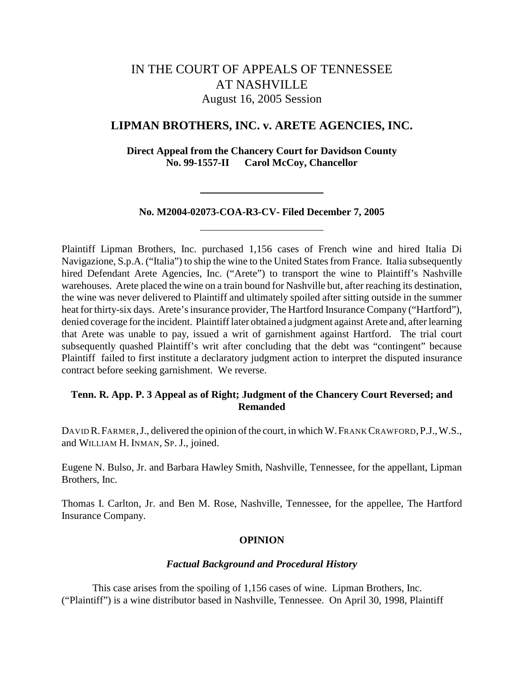# IN THE COURT OF APPEALS OF TENNESSEE AT NASHVILLE August 16, 2005 Session

# **LIPMAN BROTHERS, INC. v. ARETE AGENCIES, INC.**

**Direct Appeal from the Chancery Court for Davidson County No. 99-1557-II Carol McCoy, Chancellor**

#### **No. M2004-02073-COA-R3-CV- Filed December 7, 2005**

Plaintiff Lipman Brothers, Inc. purchased 1,156 cases of French wine and hired Italia Di Navigazione, S.p.A. ("Italia") to ship the wine to the United States from France. Italia subsequently hired Defendant Arete Agencies, Inc. ("Arete") to transport the wine to Plaintiff's Nashville warehouses. Arete placed the wine on a train bound for Nashville but, after reaching its destination, the wine was never delivered to Plaintiff and ultimately spoiled after sitting outside in the summer heat for thirty-six days. Arete's insurance provider, The Hartford Insurance Company ("Hartford"), denied coverage for the incident. Plaintiff later obtained a judgment against Arete and, after learning that Arete was unable to pay, issued a writ of garnishment against Hartford. The trial court subsequently quashed Plaintiff's writ after concluding that the debt was "contingent" because Plaintiff failed to first institute a declaratory judgment action to interpret the disputed insurance contract before seeking garnishment. We reverse.

# **Tenn. R. App. P. 3 Appeal as of Right; Judgment of the Chancery Court Reversed; and Remanded**

DAVID R. FARMER, J., delivered the opinion of the court, in which W. FRANK CRAWFORD, P.J., W.S., and WILLIAM H. INMAN, SP. J., joined.

Eugene N. Bulso, Jr. and Barbara Hawley Smith, Nashville, Tennessee, for the appellant, Lipman Brothers, Inc.

Thomas I. Carlton, Jr. and Ben M. Rose, Nashville, Tennessee, for the appellee, The Hartford Insurance Company.

## **OPINION**

#### *Factual Background and Procedural History*

This case arises from the spoiling of 1,156 cases of wine. Lipman Brothers, Inc. ("Plaintiff") is a wine distributor based in Nashville, Tennessee. On April 30, 1998, Plaintiff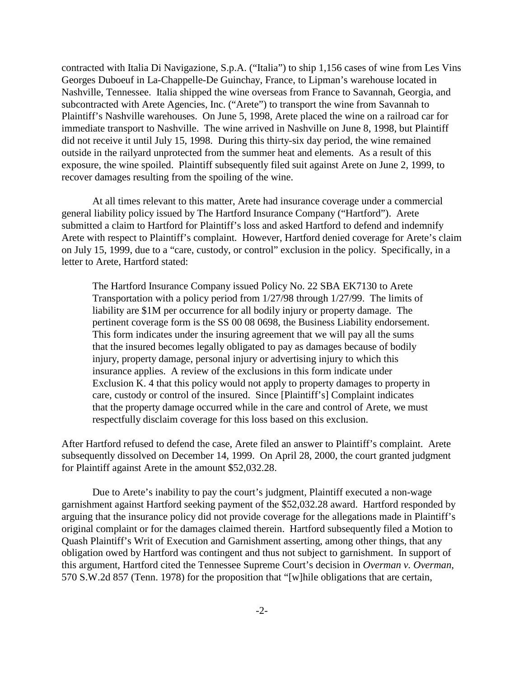contracted with Italia Di Navigazione, S.p.A. ("Italia") to ship 1,156 cases of wine from Les Vins Georges Duboeuf in La-Chappelle-De Guinchay, France, to Lipman's warehouse located in Nashville, Tennessee. Italia shipped the wine overseas from France to Savannah, Georgia, and subcontracted with Arete Agencies, Inc. ("Arete") to transport the wine from Savannah to Plaintiff's Nashville warehouses. On June 5, 1998, Arete placed the wine on a railroad car for immediate transport to Nashville. The wine arrived in Nashville on June 8, 1998, but Plaintiff did not receive it until July 15, 1998. During this thirty-six day period, the wine remained outside in the railyard unprotected from the summer heat and elements. As a result of this exposure, the wine spoiled. Plaintiff subsequently filed suit against Arete on June 2, 1999, to recover damages resulting from the spoiling of the wine.

At all times relevant to this matter, Arete had insurance coverage under a commercial general liability policy issued by The Hartford Insurance Company ("Hartford"). Arete submitted a claim to Hartford for Plaintiff's loss and asked Hartford to defend and indemnify Arete with respect to Plaintiff's complaint. However, Hartford denied coverage for Arete's claim on July 15, 1999, due to a "care, custody, or control" exclusion in the policy. Specifically, in a letter to Arete, Hartford stated:

The Hartford Insurance Company issued Policy No. 22 SBA EK7130 to Arete Transportation with a policy period from 1/27/98 through 1/27/99. The limits of liability are \$1M per occurrence for all bodily injury or property damage. The pertinent coverage form is the SS 00 08 0698, the Business Liability endorsement. This form indicates under the insuring agreement that we will pay all the sums that the insured becomes legally obligated to pay as damages because of bodily injury, property damage, personal injury or advertising injury to which this insurance applies. A review of the exclusions in this form indicate under Exclusion K. 4 that this policy would not apply to property damages to property in care, custody or control of the insured. Since [Plaintiff's] Complaint indicates that the property damage occurred while in the care and control of Arete, we must respectfully disclaim coverage for this loss based on this exclusion.

After Hartford refused to defend the case, Arete filed an answer to Plaintiff's complaint. Arete subsequently dissolved on December 14, 1999. On April 28, 2000, the court granted judgment for Plaintiff against Arete in the amount \$52,032.28.

Due to Arete's inability to pay the court's judgment, Plaintiff executed a non-wage garnishment against Hartford seeking payment of the \$52,032.28 award.Hartford responded by arguing that the insurance policy did not provide coverage for the allegations made in Plaintiff's original complaint or for the damages claimed therein. Hartford subsequently filed a Motion to Quash Plaintiff's Writ of Execution and Garnishment asserting, among other things, that any obligation owed by Hartford was contingent and thus not subject to garnishment. In support of this argument, Hartford cited the Tennessee Supreme Court's decision in *Overman v. Overman*, 570 S.W.2d 857 (Tenn. 1978) for the proposition that "[w]hile obligations that are certain,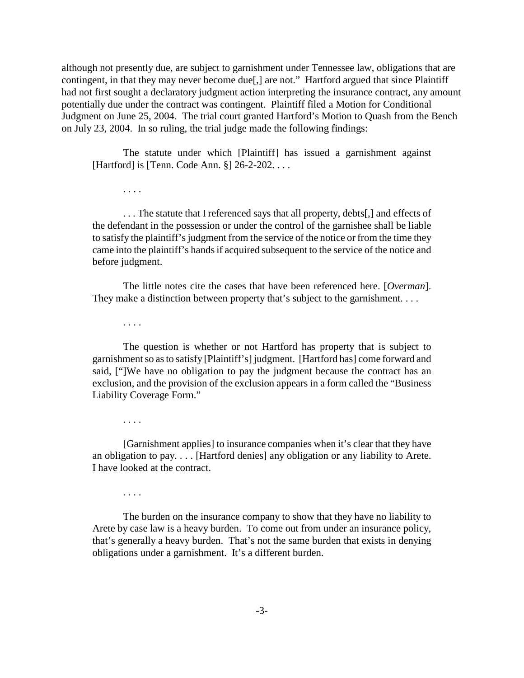although not presently due, are subject to garnishment under Tennessee law, obligations that are contingent, in that they may never become due[,] are not." Hartford argued that since Plaintiff had not first sought a declaratory judgment action interpreting the insurance contract, any amount potentially due under the contract was contingent. Plaintiff filed a Motion for Conditional Judgment on June 25, 2004. The trial court granted Hartford's Motion to Quash from the Bench on July 23, 2004. In so ruling, the trial judge made the following findings:

The statute under which [Plaintiff] has issued a garnishment against [Hartford] is [Tenn. Code Ann. §] 26-2-202. . . .

. . . The statute that I referenced says that all property, debts[,] and effects of the defendant in the possession or under the control of the garnishee shall be liable to satisfy the plaintiff's judgment from the service of the notice or from the time they came into the plaintiff's hands if acquired subsequent to the service of the notice and before judgment.

The little notes cite the cases that have been referenced here. [*Overman*]. They make a distinction between property that's subject to the garnishment....

. . . .

. . . .

The question is whether or not Hartford has property that is subject to garnishment so as to satisfy [Plaintiff's] judgment. [Hartford has] come forward and said, ["]We have no obligation to pay the judgment because the contract has an exclusion, and the provision of the exclusion appears in a form called the "Business Liability Coverage Form."

. . . .

[Garnishment applies] to insurance companies when it's clear that they have an obligation to pay. . . . [Hartford denies] any obligation or any liability to Arete. I have looked at the contract.

. . . .

The burden on the insurance company to show that they have no liability to Arete by case law is a heavy burden. To come out from under an insurance policy, that's generally a heavy burden. That's not the same burden that exists in denying obligations under a garnishment. It's a different burden.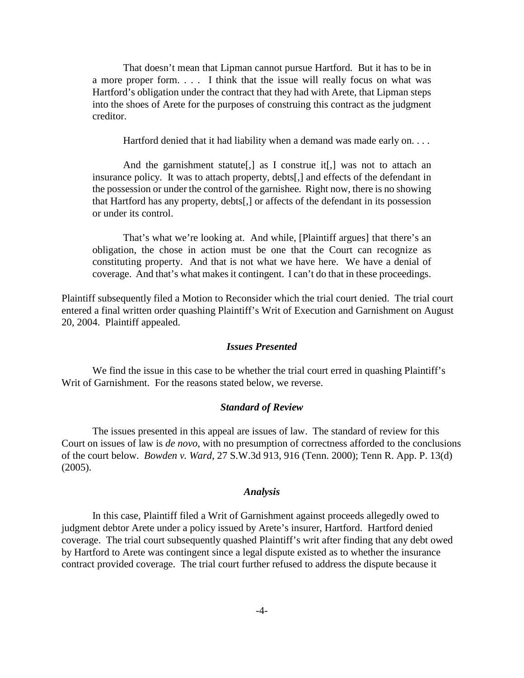That doesn't mean that Lipman cannot pursue Hartford. But it has to be in a more proper form. . . . I think that the issue will really focus on what was Hartford's obligation under the contract that they had with Arete, that Lipman steps into the shoes of Arete for the purposes of construing this contract as the judgment creditor.

Hartford denied that it had liability when a demand was made early on. . . .

And the garnishment statute<sup>[,]</sup> as I construe it<sup>[,]</sup> was not to attach an insurance policy. It was to attach property, debts[,] and effects of the defendant in the possession or under the control of the garnishee. Right now, there is no showing that Hartford has any property, debts[,] or affects of the defendant in its possession or under its control.

That's what we're looking at. And while, [Plaintiff argues] that there's an obligation, the chose in action must be one that the Court can recognize as constituting property. And that is not what we have here. We have a denial of coverage. And that's what makes it contingent. I can't do that in these proceedings.

Plaintiff subsequently filed a Motion to Reconsider which the trial court denied. The trial court entered a final written order quashing Plaintiff's Writ of Execution and Garnishment on August 20, 2004. Plaintiff appealed.

#### *Issues Presented*

We find the issue in this case to be whether the trial court erred in quashing Plaintiff's Writ of Garnishment. For the reasons stated below, we reverse.

#### *Standard of Review*

The issues presented in this appeal are issues of law. The standard of review for this Court on issues of law is *de novo*, with no presumption of correctness afforded to the conclusions of the court below. *Bowden v. Ward*, 27 S.W.3d 913, 916 (Tenn. 2000); Tenn R. App. P. 13(d) (2005).

## *Analysis*

In this case, Plaintiff filed a Writ of Garnishment against proceeds allegedly owed to judgment debtor Arete under a policy issued by Arete's insurer, Hartford. Hartford denied coverage. The trial court subsequently quashed Plaintiff's writ after finding that any debt owed by Hartford to Arete was contingent since a legal dispute existed as to whether the insurance contract provided coverage. The trial court further refused to address the dispute because it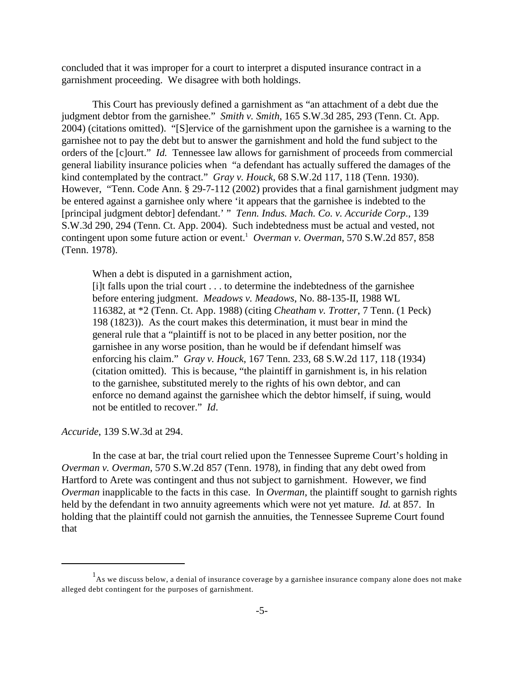concluded that it was improper for a court to interpret a disputed insurance contract in a garnishment proceeding. We disagree with both holdings.

This Court has previously defined a garnishment as "an attachment of a debt due the judgment debtor from the garnishee." *Smith v. Smith*, 165 S.W.3d 285, 293 (Tenn. Ct. App. 2004) (citations omitted). "[S]ervice of the garnishment upon the garnishee is a warning to the garnishee not to pay the debt but to answer the garnishment and hold the fund subject to the orders of the [c]ourt." *Id.* Tennessee law allows for garnishment of proceeds from commercial general liability insurance policies when "a defendant has actually suffered the damages of the kind contemplated by the contract." *Gray v. Houck*, 68 S.W.2d 117, 118 (Tenn. 1930). However, "Tenn. Code Ann. § 29-7-112 (2002) provides that a final garnishment judgment may be entered against a garnishee only where 'it appears that the garnishee is indebted to the [principal judgment debtor] defendant.' " *Tenn. Indus. Mach. Co. v. Accuride Corp*., 139 S.W.3d 290, 294 (Tenn. Ct. App. 2004). Such indebtedness must be actual and vested, not contingent upon some future action or event.<sup>1</sup> Overman v. Overman, 570 S.W.2d 857, 858 (Tenn. 1978).

When a debt is disputed in a garnishment action,

[i]t falls upon the trial court . . . to determine the indebtedness of the garnishee before entering judgment. *Meadows v. Meadows*, No. 88-135-II, 1988 WL 116382, at \*2 (Tenn. Ct. App. 1988) (citing *Cheatham v. Trotter*, 7 Tenn. (1 Peck) 198 (1823)). As the court makes this determination, it must bear in mind the general rule that a "plaintiff is not to be placed in any better position, nor the garnishee in any worse position, than he would be if defendant himself was enforcing his claim." *Gray v. Houck*, 167 Tenn. 233, 68 S.W.2d 117, 118 (1934) (citation omitted). This is because, "the plaintiff in garnishment is, in his relation to the garnishee, substituted merely to the rights of his own debtor, and can enforce no demand against the garnishee which the debtor himself, if suing, would not be entitled to recover." *Id*.

*Accuride*, 139 S.W.3d at 294.

In the case at bar, the trial court relied upon the Tennessee Supreme Court's holding in *Overman v. Overman*, 570 S.W.2d 857 (Tenn. 1978), in finding that any debt owed from Hartford to Arete was contingent and thus not subject to garnishment. However, we find *Overman* inapplicable to the facts in this case. In *Overman*, the plaintiff sought to garnish rights held by the defendant in two annuity agreements which were not yet mature. *Id.* at 857. In holding that the plaintiff could not garnish the annuities, the Tennessee Supreme Court found that

 $<sup>1</sup>$ As we discuss below, a denial of insurance coverage by a garnishee insurance company alone does not make</sup> alleged debt contingent for the purposes of garnishment.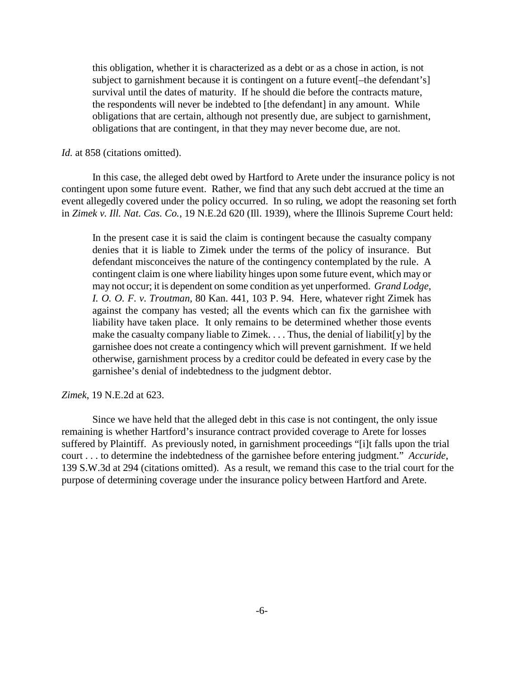this obligation, whether it is characterized as a debt or as a chose in action, is not subject to garnishment because it is contingent on a future event[–the defendant's] survival until the dates of maturity. If he should die before the contracts mature, the respondents will never be indebted to [the defendant] in any amount. While obligations that are certain, although not presently due, are subject to garnishment, obligations that are contingent, in that they may never become due, are not.

## *Id.* at 858 (citations omitted).

In this case, the alleged debt owed by Hartford to Arete under the insurance policy is not contingent upon some future event. Rather, we find that any such debt accrued at the time an event allegedly covered under the policy occurred. In so ruling, we adopt the reasoning set forth in *Zimek v. Ill. Nat. Cas. Co.*, 19 N.E.2d 620 (Ill. 1939), where the Illinois Supreme Court held:

In the present case it is said the claim is contingent because the casualty company denies that it is liable to Zimek under the terms of the policy of insurance. But defendant misconceives the nature of the contingency contemplated by the rule. A contingent claim is one where liability hinges upon some future event, which may or may not occur; it is dependent on some condition as yet unperformed. *Grand Lodge, I. O. O. F. v. Troutman*, 80 Kan. 441, 103 P. 94. Here, whatever right Zimek has against the company has vested; all the events which can fix the garnishee with liability have taken place. It only remains to be determined whether those events make the casualty company liable to Zimek. . . . Thus, the denial of liabilit[y] by the garnishee does not create a contingency which will prevent garnishment. If we held otherwise, garnishment process by a creditor could be defeated in every case by the garnishee's denial of indebtedness to the judgment debtor.

#### *Zimek*, 19 N.E.2d at 623.

Since we have held that the alleged debt in this case is not contingent, the only issue remaining is whether Hartford's insurance contract provided coverage to Arete for losses suffered by Plaintiff. As previously noted, in garnishment proceedings "[i]t falls upon the trial court . . . to determine the indebtedness of the garnishee before entering judgment." *Accuride*, 139 S.W.3d at 294 (citations omitted). As a result, we remand this case to the trial court for the purpose of determining coverage under the insurance policy between Hartford and Arete.